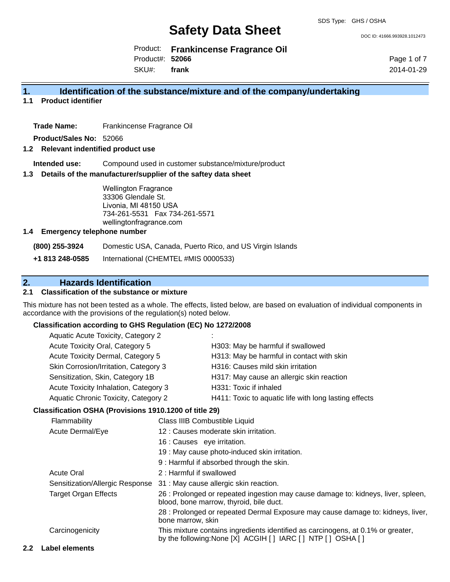DOC ID: 41666.993928.1012473

Product: **Frankincense Fragrance Oil** Product#: **52066**

SKU#: **frank** Page 1 of 7 2014-01-29

#### **1. Identification of the substance/mixture and of the company/undertaking**

**1.1 Product identifier**

**Trade Name:** Frankincense Fragrance Oil

**Product/Sales No:** 52066

#### **1.2 Relevant indentified product use**

**Intended use:** Compound used in customer substance/mixture/product

#### **1.3 Details of the manufacturer/supplier of the saftey data sheet**

Wellington Fragrance 33306 Glendale St. Livonia, MI 48150 USA 734-261-5531 Fax 734-261-5571 wellingtonfragrance.com

#### **1.4 Emergency telephone number**

**(800) 255-3924** Domestic USA, Canada, Puerto Rico, and US Virgin Islands

**+1 813 248-0585** International (CHEMTEL #MIS 0000533)

### **2. Hazards Identification**

#### **2.1 Classification of the substance or mixture**

This mixture has not been tested as a whole. The effects, listed below, are based on evaluation of individual components in accordance with the provisions of the regulation(s) noted below.

#### **Classification according to GHS Regulation (EC) No 1272/2008**

| Aquatic Acute Toxicity, Category 2    | ٠.                                                    |
|---------------------------------------|-------------------------------------------------------|
| Acute Toxicity Oral, Category 5       | H303: May be harmful if swallowed                     |
| Acute Toxicity Dermal, Category 5     | H313: May be harmful in contact with skin             |
| Skin Corrosion/Irritation, Category 3 | H316: Causes mild skin irritation                     |
| Sensitization, Skin, Category 1B      | H317: May cause an allergic skin reaction             |
| Acute Toxicity Inhalation, Category 3 | H331: Toxic if inhaled                                |
| Aquatic Chronic Toxicity, Category 2  | H411: Toxic to aquatic life with long lasting effects |
|                                       |                                                       |

#### **Classification OSHA (Provisions 1910.1200 of title 29)**

| Flammability                    | Class IIIB Combustible Liquid                                                                                                                  |
|---------------------------------|------------------------------------------------------------------------------------------------------------------------------------------------|
| Acute Dermal/Eye                | 12 : Causes moderate skin irritation.                                                                                                          |
|                                 | 16 : Causes eye irritation.                                                                                                                    |
|                                 | 19 : May cause photo-induced skin irritation.                                                                                                  |
|                                 | 9: Harmful if absorbed through the skin.                                                                                                       |
| <b>Acute Oral</b>               | 2: Harmful if swallowed                                                                                                                        |
| Sensitization/Allergic Response | 31 : May cause allergic skin reaction.                                                                                                         |
| <b>Target Organ Effects</b>     | 26 : Prolonged or repeated ingestion may cause damage to: kidneys, liver, spleen,<br>blood, bone marrow, thyroid, bile duct.                   |
|                                 | 28 : Prolonged or repeated Dermal Exposure may cause damage to: kidneys, liver,<br>bone marrow, skin                                           |
| Carcinogenicity                 | This mixture contains ingredients identified as carcinogens, at 0.1% or greater,<br>by the following: None [X] ACGIH [] IARC [] NTP [] OSHA [] |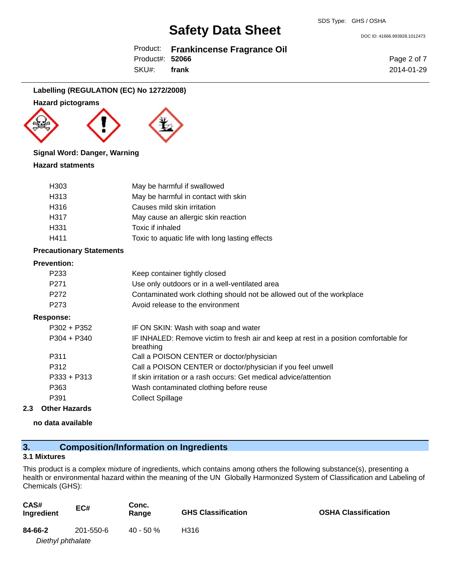Product: **Frankincense Fragrance Oil** Product#: **52066**

SKU#: **frank** Page 2 of 7 2014-01-29

DOC ID: 41666.993928.1012473

#### **Labelling (REGULATION (EC) No 1272/2008)**

#### **Hazard pictograms**





#### **Signal Word: Danger, Warning**

#### **Hazard statments**

| H <sub>303</sub>  | May be harmful if swallowed                     |
|-------------------|-------------------------------------------------|
| H <sub>3</sub> 13 | May be harmful in contact with skin             |
| H316              | Causes mild skin irritation                     |
| H317              | May cause an allergic skin reaction             |
| H <sub>331</sub>  | Toxic if inhaled                                |
| H411              | Toxic to aquatic life with long lasting effects |

#### **Precautionary Statements**

#### **Prevention:**

| FICVEIIUUII.     |                                                                                                    |
|------------------|----------------------------------------------------------------------------------------------------|
| P <sub>233</sub> | Keep container tightly closed                                                                      |
| P <sub>271</sub> | Use only outdoors or in a well-ventilated area                                                     |
| P <sub>272</sub> | Contaminated work clothing should not be allowed out of the workplace                              |
| P <sub>273</sub> | Avoid release to the environment                                                                   |
| Response:        |                                                                                                    |
| $P302 + P352$    | IF ON SKIN: Wash with soap and water                                                               |
| $P304 + P340$    | IF INHALED: Remove victim to fresh air and keep at rest in a position comfortable for<br>breathing |
| P311             | Call a POISON CENTER or doctor/physician                                                           |
| P312             | Call a POISON CENTER or doctor/physician if you feel unwell                                        |
| $P333 + P313$    | If skin irritation or a rash occurs: Get medical advice/attention                                  |
| P363             | Wash contaminated clothing before reuse                                                            |
| P391             | <b>Collect Spillage</b>                                                                            |
|                  |                                                                                                    |

#### **2.3 Other Hazards**

**no data available**

### **3. Composition/Information on Ingredients**

#### **3.1 Mixtures**

This product is a complex mixture of ingredients, which contains among others the following substance(s), presenting a health or environmental hazard within the meaning of the UN Globally Harmonized System of Classification and Labeling of Chemicals (GHS):

| CAS#<br>Ingredient | EC#       | Conc.<br>Range | <b>GHS Classification</b> | <b>OSHA Classification</b> |
|--------------------|-----------|----------------|---------------------------|----------------------------|
| 84-66-2            | 201-550-6 | $40 - 50 \%$   | H316                      |                            |
| Diethyl phthalate  |           |                |                           |                            |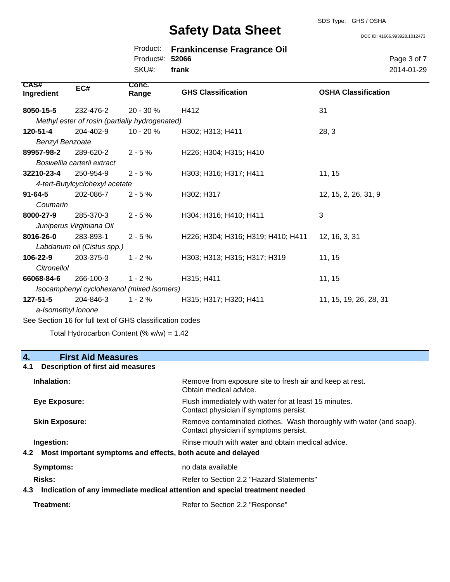#### SDS Type: GHS / OSHA

## **Safety Data Sheet**

DOC ID: 41666.993928.1012473

Page 3 of 7 2014-01-29

|                           | <b>UAIGLY DAIA UIIGGL</b>      |                                                |                                                     | DOC ID: 4166               |  |
|---------------------------|--------------------------------|------------------------------------------------|-----------------------------------------------------|----------------------------|--|
|                           |                                | Product:<br>Product#:<br>SKU#:                 | <b>Frankincense Fragrance Oil</b><br>52066<br>frank |                            |  |
| <b>CAS#</b><br>Ingredient | EC#                            | Conc.<br>Range                                 | <b>GHS Classification</b>                           | <b>OSHA Classification</b> |  |
| 8050-15-5                 | 232-476-2                      | 20 - 30 %                                      | H412                                                | 31                         |  |
|                           |                                | Methyl ester of rosin (partially hydrogenated) |                                                     |                            |  |
| 120-51-4                  | 204-402-9                      | $10 - 20 \%$                                   | H302; H313; H411                                    | 28, 3                      |  |
| <b>Benzyl Benzoate</b>    |                                |                                                |                                                     |                            |  |
| 89957-98-2                | 289-620-2                      | $2 - 5%$                                       | H226; H304; H315; H410                              |                            |  |
|                           | Boswellia carterii extract     |                                                |                                                     |                            |  |
| 32210-23-4                | 250-954-9                      | $2 - 5%$                                       | H303; H316; H317; H411                              | 11, 15                     |  |
|                           | 4-tert-Butylcyclohexyl acetate |                                                |                                                     |                            |  |
| $91 - 64 - 5$             | 202-086-7                      | $2 - 5%$                                       | H302; H317                                          | 12, 15, 2, 26, 31, 9       |  |
| Coumarin                  |                                |                                                |                                                     |                            |  |
| 8000-27-9                 | 285-370-3                      | $2 - 5%$                                       | H304; H316; H410; H411                              | 3                          |  |
|                           | Juniperus Virginiana Oil       |                                                |                                                     |                            |  |
| 8016-26-0                 | 283-893-1                      | $2 - 5%$                                       | H226; H304; H316; H319; H410; H411                  | 12, 16, 3, 31              |  |
|                           | Labdanum oil (Cistus spp.)     |                                                |                                                     |                            |  |
| 106-22-9                  | 203-375-0                      | $1 - 2%$                                       | H303; H313; H315; H317; H319                        | 11, 15                     |  |
| Citronellol               |                                |                                                |                                                     |                            |  |
| 66068-84-6                | 266-100-3                      | $1 - 2%$                                       | H315; H411                                          | 11, 15                     |  |

*Isocamphenyl cyclohexanol (mixed isomers)*

204-846-3 *a-Isomethyl ionone* **127-51-5** 204-846-3 1 - 2 % H315; H317; H320; H411 11, 15, 19, 26, 28, 31

See Section 16 for full text of GHS classification codes

Total Hydrocarbon Content  $(% \mathcal{L}_{0}$  (% w/w) = 1.42

# **4. First Aid Measures**

#### **4.1 Description of first aid measures**

| Inhalation:                                                     | Remove from exposure site to fresh air and keep at rest.<br>Obtain medical advice.                            |
|-----------------------------------------------------------------|---------------------------------------------------------------------------------------------------------------|
| Eye Exposure:                                                   | Flush immediately with water for at least 15 minutes.<br>Contact physician if symptoms persist.               |
| <b>Skin Exposure:</b>                                           | Remove contaminated clothes. Wash thoroughly with water (and soap).<br>Contact physician if symptoms persist. |
| Ingestion:                                                      | Rinse mouth with water and obtain medical advice.                                                             |
| 4.2 Most important symptoms and effects, both acute and delayed |                                                                                                               |
| <b>Symptoms:</b>                                                | no data available                                                                                             |
| Risks:                                                          | Refer to Section 2.2 "Hazard Statements"                                                                      |
|                                                                 |                                                                                                               |

#### **4.3 Indication of any immediate medical attention and special treatment needed**

| Treatment: | Refer to Section 2.2 "Response" |
|------------|---------------------------------|
|------------|---------------------------------|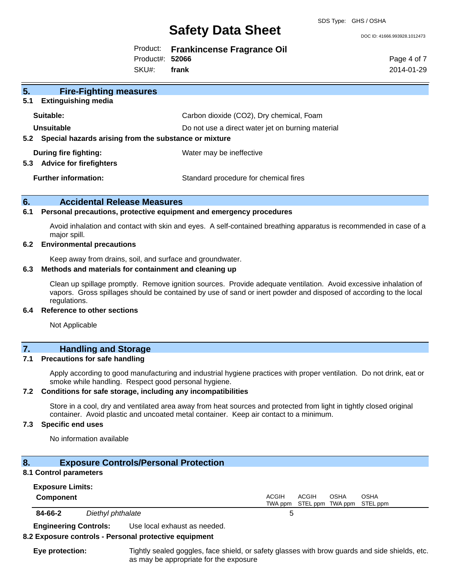SDS Type: GHS / OSHA

## **Safety Data Sheet**

DOC ID: 41666.993928.1012473

|                 | Product: Frankincense Fragrance Oil |
|-----------------|-------------------------------------|
| Product#: 52066 |                                     |

SKU#: **frank** Page 4 of 7 2014-01-29

| 5.<br><b>Fire-Fighting measures</b>                       |                                                   |
|-----------------------------------------------------------|---------------------------------------------------|
| 5.1<br><b>Extinguishing media</b>                         |                                                   |
| Suitable:                                                 | Carbon dioxide (CO2), Dry chemical, Foam          |
| Unsuitable                                                | Do not use a direct water jet on burning material |
| 5.2 Special hazards arising from the substance or mixture |                                                   |
| During fire fighting:                                     | Water may be ineffective                          |
| 5.3<br><b>Advice for firefighters</b>                     |                                                   |
| <b>Further information:</b>                               | Standard procedure for chemical fires             |

#### **6. Accidental Release Measures**

#### **6.1 Personal precautions, protective equipment and emergency procedures**

Avoid inhalation and contact with skin and eyes. A self-contained breathing apparatus is recommended in case of a major spill.

#### **6.2 Environmental precautions**

Keep away from drains, soil, and surface and groundwater.

#### **6.3 Methods and materials for containment and cleaning up**

Clean up spillage promptly. Remove ignition sources. Provide adequate ventilation. Avoid excessive inhalation of vapors. Gross spillages should be contained by use of sand or inert powder and disposed of according to the local regulations.

#### **6.4 Reference to other sections**

Not Applicable

#### **7. Handling and Storage**

#### **7.1 Precautions for safe handling**

Apply according to good manufacturing and industrial hygiene practices with proper ventilation. Do not drink, eat or smoke while handling. Respect good personal hygiene.

#### **7.2 Conditions for safe storage, including any incompatibilities**

Store in a cool, dry and ventilated area away from heat sources and protected from light in tightly closed original container. Avoid plastic and uncoated metal container. Keep air contact to a minimum.

#### **7.3 Specific end uses**

No information available

### **8. Exposure Controls/Personal Protection**

#### **8.1 Control parameters**

| <b>Exposure Limits:</b> |                   |                                                                            |
|-------------------------|-------------------|----------------------------------------------------------------------------|
| Component               |                   | ACGIH<br>ACGIH<br><b>OSHA</b><br>OSHA<br>TWA ppm STEL ppm TWA ppm STEL ppm |
| 84-66-2                 | Diethyl phthalate |                                                                            |

**Engineering Controls:** Use local exhaust as needed.

#### **8.2 Exposure controls - Personal protective equipment**

**Eye protection:** Tightly sealed goggles, face shield, or safety glasses with brow guards and side shields, etc. as may be appropriate for the exposure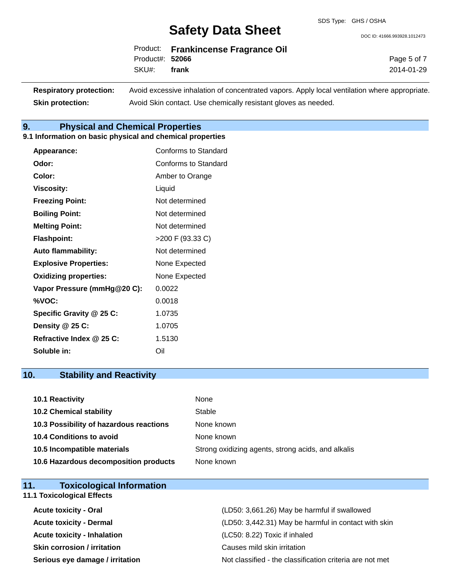DOC ID: 41666.993928.1012473

Page 5 of 7 2014-01-29

|                 | Product: Frankincense Fragrance Oil |
|-----------------|-------------------------------------|
| Product#: 52066 |                                     |
| SKU#: frank     |                                     |

**Respiratory protection:** Avoid excessive inhalation of concentrated vapors. Apply local ventilation where appropriate. **Skin protection:** Avoid Skin contact. Use chemically resistant gloves as needed.

### **9. Physical and Chemical Properties**

### **9.1 Information on basic physical and chemical properties**

| Appearance:                  | Conforms to Standard |
|------------------------------|----------------------|
| Odor:                        | Conforms to Standard |
| Color:                       | Amber to Orange      |
| <b>Viscosity:</b>            | Liquid               |
| <b>Freezing Point:</b>       | Not determined       |
| <b>Boiling Point:</b>        | Not determined       |
| <b>Melting Point:</b>        | Not determined       |
| <b>Flashpoint:</b>           | >200 F (93.33 C)     |
| <b>Auto flammability:</b>    | Not determined       |
| <b>Explosive Properties:</b> | None Expected        |
| <b>Oxidizing properties:</b> | None Expected        |
| Vapor Pressure (mmHg@20 C):  | 0.0022               |
| %VOC:                        | 0.0018               |
| Specific Gravity @ 25 C:     | 1.0735               |
| Density @ 25 C:              | 1.0705               |
| Refractive Index @ 25 C:     | 1.5130               |
| Soluble in:                  | Oil                  |

## **10. Stability and Reactivity**

| 10.1 Reactivity                         | None                                               |
|-----------------------------------------|----------------------------------------------------|
| <b>10.2 Chemical stability</b>          | Stable                                             |
| 10.3 Possibility of hazardous reactions | None known                                         |
| 10.4 Conditions to avoid                | None known                                         |
| 10.5 Incompatible materials             | Strong oxidizing agents, strong acids, and alkalis |
| 10.6 Hazardous decomposition products   | None known                                         |

| <b>Toxicological Information</b><br>11. |                                                          |
|-----------------------------------------|----------------------------------------------------------|
| <b>11.1 Toxicological Effects</b>       |                                                          |
| <b>Acute toxicity - Oral</b>            | (LD50: 3,661.26) May be harmful if swallowed             |
| <b>Acute toxicity - Dermal</b>          | (LD50: 3,442.31) May be harmful in contact with skin     |
| <b>Acute toxicity - Inhalation</b>      | (LC50: 8.22) Toxic if inhaled                            |
| <b>Skin corrosion / irritation</b>      | Causes mild skin irritation                              |
| Serious eye damage / irritation         | Not classified - the classification criteria are not met |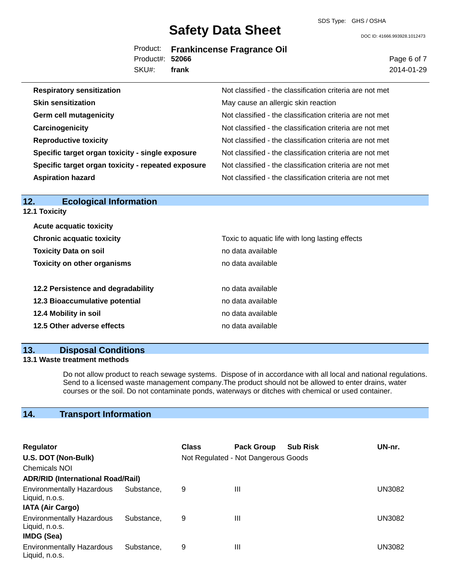SDS Type: GHS / OSHA

DOC ID: 41666.993928.1012473

|                 | Product: Frankincense Fragrance Oil |
|-----------------|-------------------------------------|
| Product#: 52066 |                                     |
| SKU#: frank     |                                     |

Page 6 of 7 2014-01-29

| <b>Respiratory sensitization</b>                   | Not classified - the classification criteria are not met |
|----------------------------------------------------|----------------------------------------------------------|
| <b>Skin sensitization</b>                          | May cause an allergic skin reaction                      |
| <b>Germ cell mutagenicity</b>                      | Not classified - the classification criteria are not met |
| Carcinogenicity                                    | Not classified - the classification criteria are not met |
| <b>Reproductive toxicity</b>                       | Not classified - the classification criteria are not met |
| Specific target organ toxicity - single exposure   | Not classified - the classification criteria are not met |
| Specific target organ toxicity - repeated exposure | Not classified - the classification criteria are not met |
| <b>Aspiration hazard</b>                           | Not classified - the classification criteria are not met |

| <b>Ecological Information</b><br>12. |                                                 |
|--------------------------------------|-------------------------------------------------|
| <b>12.1 Toxicity</b>                 |                                                 |
| <b>Acute acquatic toxicity</b>       |                                                 |
| <b>Chronic acquatic toxicity</b>     | Toxic to aquatic life with long lasting effects |
| <b>Toxicity Data on soil</b>         | no data available                               |
| <b>Toxicity on other organisms</b>   | no data available                               |
|                                      |                                                 |
| 12.2 Persistence and degradability   | no data available                               |
| 12.3 Bioaccumulative potential       | no data available                               |
| 12.4 Mobility in soil                | no data available                               |
| 12.5 Other adverse effects           | no data available                               |
|                                      |                                                 |

### **13. Disposal Conditions**

#### **13.1 Waste treatment methods**

Do not allow product to reach sewage systems. Dispose of in accordance with all local and national regulations. Send to a licensed waste management company.The product should not be allowed to enter drains, water courses or the soil. Do not contaminate ponds, waterways or ditches with chemical or used container.

### **14. Transport Information**

| <b>Regulator</b>                                                              |            | <b>Class</b> | <b>Pack Group</b>                   | <b>Sub Risk</b> | UN-nr. |
|-------------------------------------------------------------------------------|------------|--------------|-------------------------------------|-----------------|--------|
| U.S. DOT (Non-Bulk)                                                           |            |              | Not Regulated - Not Dangerous Goods |                 |        |
| <b>Chemicals NOI</b>                                                          |            |              |                                     |                 |        |
| <b>ADR/RID (International Road/Rail)</b>                                      |            |              |                                     |                 |        |
| <b>Environmentally Hazardous</b><br>Liquid, n.o.s.<br><b>IATA (Air Cargo)</b> | Substance. | 9            | Ш                                   |                 | UN3082 |
| <b>Environmentally Hazardous</b><br>Liquid, n.o.s.<br><b>IMDG (Sea)</b>       | Substance, | 9            | Ш                                   |                 | UN3082 |
| <b>Environmentally Hazardous</b><br>Liquid, n.o.s.                            | Substance, | 9            | Ш                                   |                 | UN3082 |